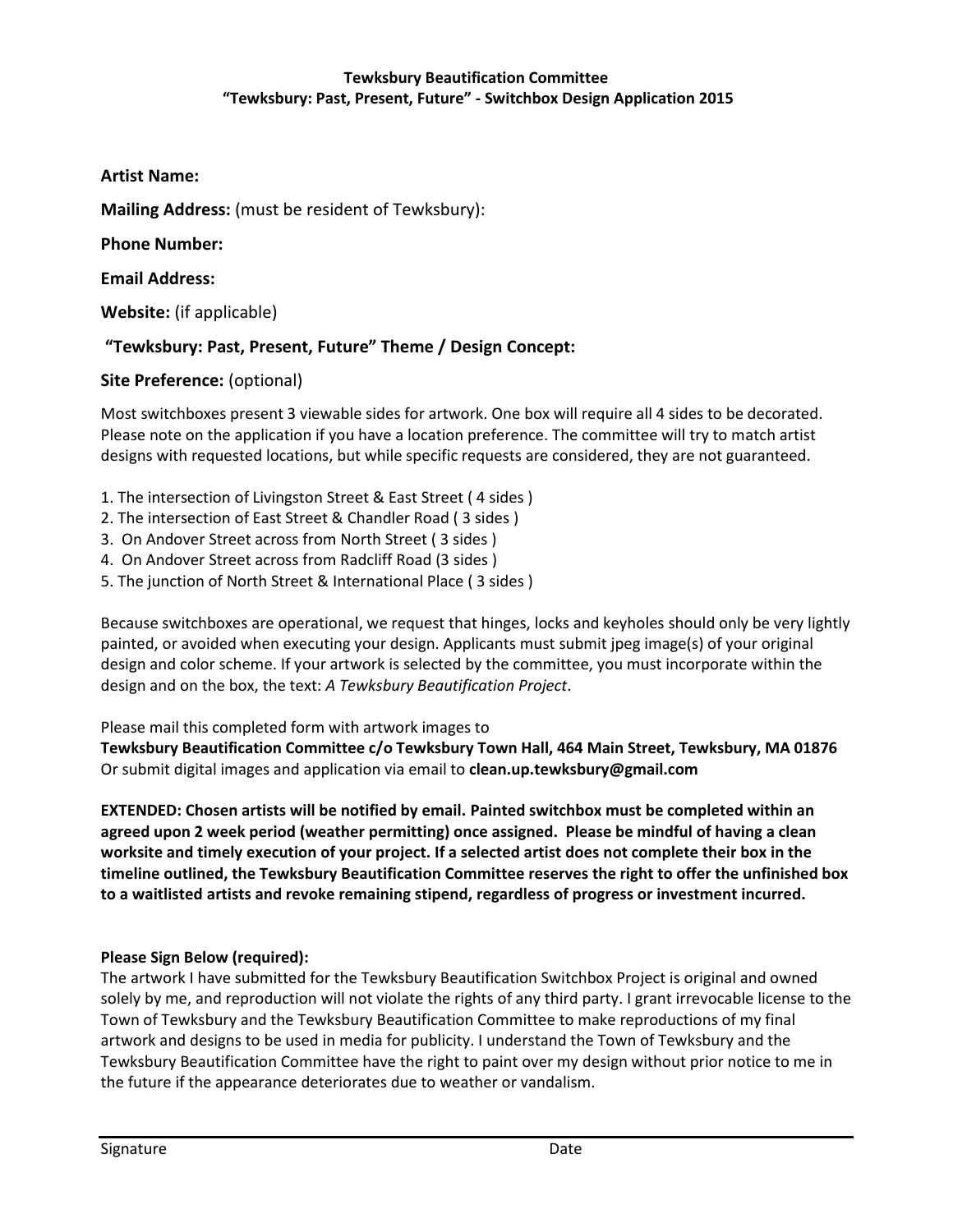## **Tewksbury Beautification Committee "Tewksbury: Past, Present, Future" - Switchbox Design Application 2015**

**Artist Name:** 

**Mailing Address:** (must be resident of Tewksbury):

**Phone Number:** 

**Email Address:** 

**Website:** (if applicable)

## **"Tewksbury: Past, Present, Future" Theme / Design Concept:**

## **Site Preference:** (optional)

Most switchboxes present 3 viewable sides for artwork. One box will require all 4 sides to be decorated. Please note on the application if you have a location preference. The committee will try to match artist designs with requested locations, but while specific requests are considered, they are not guaranteed.

- 1. The intersection of Livingston Street & East Street ( 4 sides )
- 2. The intersection of East Street & Chandler Road ( 3 sides )
- 3. On Andover Street across from North Street ( 3 sides )
- 4. On Andover Street across from Radcliff Road (3 sides )
- 5. The junction of North Street & International Place ( 3 sides )

Because switchboxes are operational, we request that hinges, locks and keyholes should only be very lightly painted, or avoided when executing your design. Applicants must submit jpeg image(s) of your original design and color scheme. If your artwork is selected by the committee, you must incorporate within the design and on the box, the text: *A Tewksbury Beautification Project*.

Please mail this completed form with artwork images to

**Tewksbury Beautification Committee c/o Tewksbury Town Hall, 464 Main Street, Tewksbury, MA 01876**  Or submit digital images and application via email to **clean.up.tewksbury@gmail.com** 

**EXTENDED: Chosen artists will be notified by email. Painted switchbox must be completed within an agreed upon 2 week period (weather permitting) once assigned. Please be mindful of having a clean worksite and timely execution of your project. If a selected artist does not complete their box in the timeline outlined, the Tewksbury Beautification Committee reserves the right to offer the unfinished box to a waitlisted artists and revoke remaining stipend, regardless of progress or investment incurred.** 

### **Please Sign Below (required):**

The artwork I have submitted for the Tewksbury Beautification Switchbox Project is original and owned solely by me, and reproduction will not violate the rights of any third party. I grant irrevocable license to the Town of Tewksbury and the Tewksbury Beautification Committee to make reproductions of my final artwork and designs to be used in media for publicity. I understand the Town of Tewksbury and the Tewksbury Beautification Committee have the right to paint over my design without prior notice to me in the future if the appearance deteriorates due to weather or vandalism.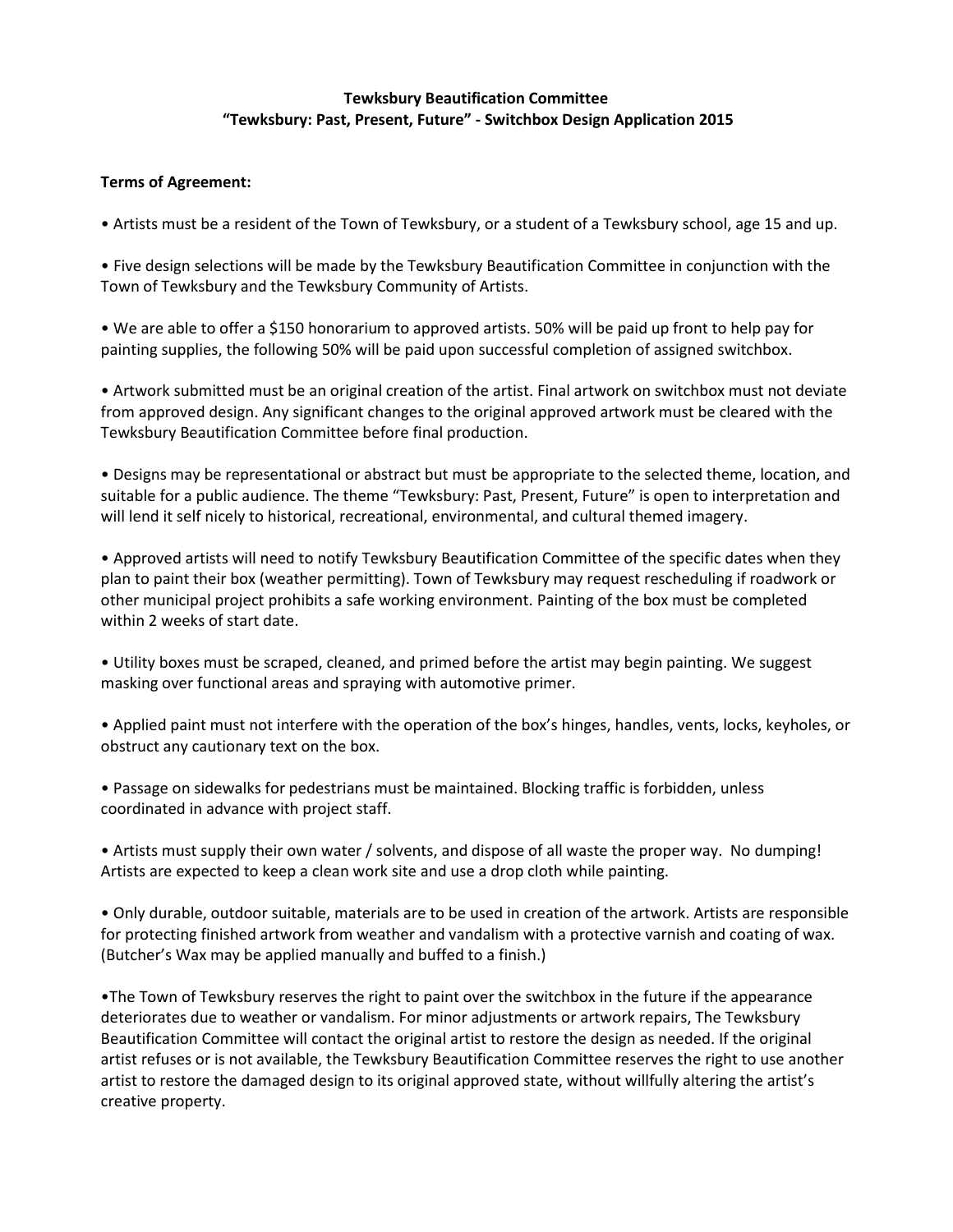### **Tewksbury Beautification Committee "Tewksbury: Past, Present, Future" - Switchbox Design Application 2015**

#### **Terms of Agreement:**

• Artists must be a resident of the Town of Tewksbury, or a student of a Tewksbury school, age 15 and up.

• Five design selections will be made by the Tewksbury Beautification Committee in conjunction with the Town of Tewksbury and the Tewksbury Community of Artists.

• We are able to offer a \$150 honorarium to approved artists. 50% will be paid up front to help pay for painting supplies, the following 50% will be paid upon successful completion of assigned switchbox.

• Artwork submitted must be an original creation of the artist. Final artwork on switchbox must not deviate from approved design. Any significant changes to the original approved artwork must be cleared with the Tewksbury Beautification Committee before final production.

• Designs may be representational or abstract but must be appropriate to the selected theme, location, and suitable for a public audience. The theme "Tewksbury: Past, Present, Future" is open to interpretation and will lend it self nicely to historical, recreational, environmental, and cultural themed imagery.

• Approved artists will need to notify Tewksbury Beautification Committee of the specific dates when they plan to paint their box (weather permitting). Town of Tewksbury may request rescheduling if roadwork or other municipal project prohibits a safe working environment. Painting of the box must be completed within 2 weeks of start date.

• Utility boxes must be scraped, cleaned, and primed before the artist may begin painting. We suggest masking over functional areas and spraying with automotive primer.

• Applied paint must not interfere with the operation of the box's hinges, handles, vents, locks, keyholes, or obstruct any cautionary text on the box.

• Passage on sidewalks for pedestrians must be maintained. Blocking traffic is forbidden, unless coordinated in advance with project staff.

• Artists must supply their own water / solvents, and dispose of all waste the proper way. No dumping! Artists are expected to keep a clean work site and use a drop cloth while painting.

• Only durable, outdoor suitable, materials are to be used in creation of the artwork. Artists are responsible for protecting finished artwork from weather and vandalism with a protective varnish and coating of wax. (Butcher's Wax may be applied manually and buffed to a finish.)

•The Town of Tewksbury reserves the right to paint over the switchbox in the future if the appearance deteriorates due to weather or vandalism. For minor adjustments or artwork repairs, The Tewksbury Beautification Committee will contact the original artist to restore the design as needed. If the original artist refuses or is not available, the Tewksbury Beautification Committee reserves the right to use another artist to restore the damaged design to its original approved state, without willfully altering the artist's creative property.